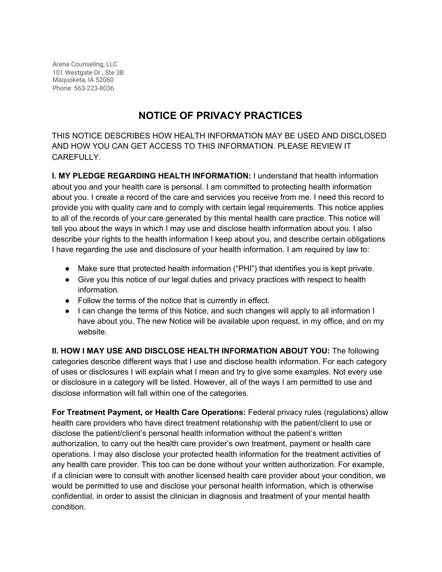Arena Counseling, LLC 101 Westgate Dr., Ste 3B Maquoketa, IA 52060 Phone: 563-223-8036

# **NOTICE OF PRIVACY PRACTICES**

THIS NOTICE DESCRIBES HOW HEALTH INFORMATION MAY BE USED AND DISCLOSED AND HOW YOU CAN GET ACCESS TO THIS INFORMATION. PLEASE REVIEW IT CAREFULLY.

**I. MY PLEDGE REGARDING HEALTH INFORMATION:** I understand that health information about you and your health care is personal. I am committed to protecting health information about you. I create a record of the care and services you receive from me. I need this record to provide you with quality care and to comply with certain legal requirements. This notice applies to all of the records of your care generated by this mental health care practice. This notice will tell you about the ways in which I may use and disclose health information about you. I also describe your rights to the health information I keep about you, and describe certain obligations I have regarding the use and disclosure of your health information. I am required by law to:

- Make sure that protected health information ("PHI") that identifies you is kept private.
- Give you this notice of our legal duties and privacy practices with respect to health information.
- Follow the terms of the notice that is currently in effect.
- I can change the terms of this Notice, and such changes will apply to all information I have about you. The new Notice will be available upon request, in my office, and on my website.

**II. HOW I MAY USE AND DISCLOSE HEALTH INFORMATION ABOUT YOU:** The following categories describe different ways that I use and disclose health information. For each category of uses or disclosures I will explain what I mean and try to give some examples. Not every use or disclosure in a category will be listed. However, all of the ways I am permitted to use and disclose information will fall within one of the categories.

**For Treatment Payment, or Health Care Operations:** Federal privacy rules (regulations) allow health care providers who have direct treatment relationship with the patient/client to use or disclose the patient/client's personal health information without the patient's written authorization, to carry out the health care provider's own treatment, payment or health care operations. I may also disclose your protected health information for the treatment activities of any health care provider. This too can be done without your written authorization. For example, if a clinician were to consult with another licensed health care provider about your condition, we would be permitted to use and disclose your personal health information, which is otherwise confidential, in order to assist the clinician in diagnosis and treatment of your mental health condition.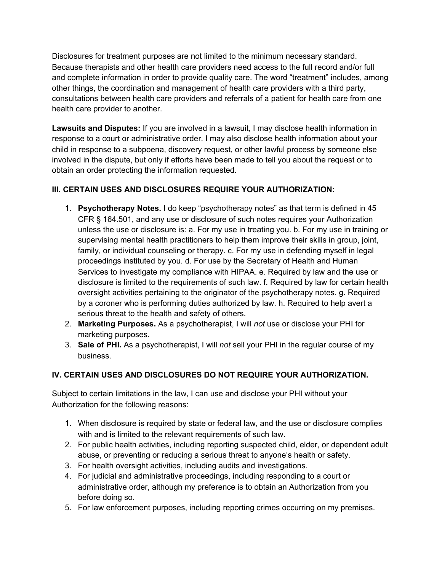Disclosures for treatment purposes are not limited to the minimum necessary standard. Because therapists and other health care providers need access to the full record and/or full and complete information in order to provide quality care. The word "treatment" includes, among other things, the coordination and management of health care providers with a third party, consultations between health care providers and referrals of a patient for health care from one health care provider to another.

**Lawsuits and Disputes:** If you are involved in a lawsuit, I may disclose health information in response to a court or administrative order. I may also disclose health information about your child in response to a subpoena, discovery request, or other lawful process by someone else involved in the dispute, but only if efforts have been made to tell you about the request or to obtain an order protecting the information requested.

## **III. CERTAIN USES AND DISCLOSURES REQUIRE YOUR AUTHORIZATION:**

- 1. **Psychotherapy Notes.** I do keep "psychotherapy notes" as that term is defined in 45 CFR § 164.501, and any use or disclosure of such notes requires your Authorization unless the use or disclosure is: a. For my use in treating you. b. For my use in training or supervising mental health practitioners to help them improve their skills in group, joint, family, or individual counseling or therapy. c. For my use in defending myself in legal proceedings instituted by you. d. For use by the Secretary of Health and Human Services to investigate my compliance with HIPAA. e. Required by law and the use or disclosure is limited to the requirements of such law. f. Required by law for certain health oversight activities pertaining to the originator of the psychotherapy notes. g. Required by a coroner who is performing duties authorized by law. h. Required to help avert a serious threat to the health and safety of others.
- 2. **Marketing Purposes.** As a psychotherapist, I will *not* use or disclose your PHI for marketing purposes.
- 3. **Sale of PHI.** As a psychotherapist, I will *not* sell your PHI in the regular course of my business.

## **IV. CERTAIN USES AND DISCLOSURES DO NOT REQUIRE YOUR AUTHORIZATION.**

Subject to certain limitations in the law, I can use and disclose your PHI without your Authorization for the following reasons:

- 1. When disclosure is required by state or federal law, and the use or disclosure complies with and is limited to the relevant requirements of such law.
- 2. For public health activities, including reporting suspected child, elder, or dependent adult abuse, or preventing or reducing a serious threat to anyone's health or safety.
- 3. For health oversight activities, including audits and investigations.
- 4. For judicial and administrative proceedings, including responding to a court or administrative order, although my preference is to obtain an Authorization from you before doing so.
- 5. For law enforcement purposes, including reporting crimes occurring on my premises.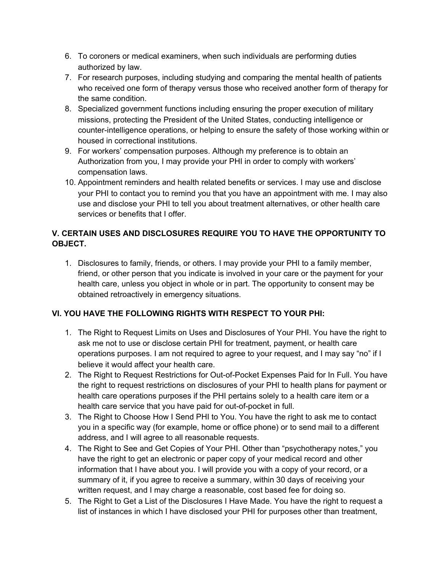- 6. To coroners or medical examiners, when such individuals are performing duties authorized by law.
- 7. For research purposes, including studying and comparing the mental health of patients who received one form of therapy versus those who received another form of therapy for the same condition.
- 8. Specialized government functions including ensuring the proper execution of military missions, protecting the President of the United States, conducting intelligence or counter-intelligence operations, or helping to ensure the safety of those working within or housed in correctional institutions.
- 9. For workers' compensation purposes. Although my preference is to obtain an Authorization from you, I may provide your PHI in order to comply with workers' compensation laws.
- 10. Appointment reminders and health related benefits or services. I may use and disclose your PHI to contact you to remind you that you have an appointment with me. I may also use and disclose your PHI to tell you about treatment alternatives, or other health care services or benefits that I offer.

## **V. CERTAIN USES AND DISCLOSURES REQUIRE YOU TO HAVE THE OPPORTUNITY TO OBJECT.**

1. Disclosures to family, friends, or others. I may provide your PHI to a family member, friend, or other person that you indicate is involved in your care or the payment for your health care, unless you object in whole or in part. The opportunity to consent may be obtained retroactively in emergency situations.

## **VI. YOU HAVE THE FOLLOWING RIGHTS WITH RESPECT TO YOUR PHI:**

- 1. The Right to Request Limits on Uses and Disclosures of Your PHI. You have the right to ask me not to use or disclose certain PHI for treatment, payment, or health care operations purposes. I am not required to agree to your request, and I may say "no" if I believe it would affect your health care.
- 2. The Right to Request Restrictions for Out-of-Pocket Expenses Paid for In Full. You have the right to request restrictions on disclosures of your PHI to health plans for payment or health care operations purposes if the PHI pertains solely to a health care item or a health care service that you have paid for out-of-pocket in full.
- 3. The Right to Choose How I Send PHI to You. You have the right to ask me to contact you in a specific way (for example, home or office phone) or to send mail to a different address, and I will agree to all reasonable requests.
- 4. The Right to See and Get Copies of Your PHI. Other than "psychotherapy notes," you have the right to get an electronic or paper copy of your medical record and other information that I have about you. I will provide you with a copy of your record, or a summary of it, if you agree to receive a summary, within 30 days of receiving your written request, and I may charge a reasonable, cost based fee for doing so.
- 5. The Right to Get a List of the Disclosures I Have Made. You have the right to request a list of instances in which I have disclosed your PHI for purposes other than treatment,